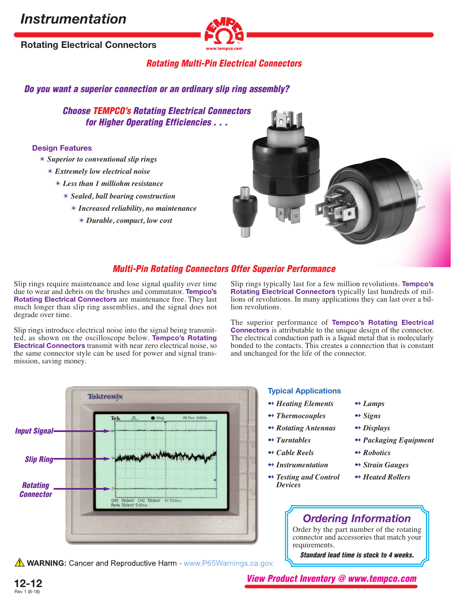# *Instrumentation*

**Rotating Electrical Connectors**



### **Rotating Multi-Pin Electrical Connectors**

**Do you want a superior connection or an ordinary slip ring assembly?**

**Choose TEMPCO's Rotating Electrical Connectors for Higher Operating Efficiencies . . .**

### **Design Features**

- ✴ *Superior to conventional slip rings*
	- ✴ *Extremely low electrical noise*
		- ✴ *Less than 1 milliohm resistance*
			- ✴ *Sealed, ball bearing construction*
				- ✴ *Increased reliability, no maintenance*
					- ✴ *Durable, compact, low cost*



### **Multi-Pin Rotating Connectors Offer Superior Performance**

Slip rings require maintenance and lose signal quality over time due to wear and debris on the brushes and commutator. **Tempco's Rotating Electrical Connectors** are maintenance free. They last much longer than slip ring assemblies, and the signal does not degrade over time.

Slip rings introduce electrical noise into the signal being transmitted, as shown on the oscilloscope below. **Tempco's Rotating Electrical Connectors** transmit with near zero electrical noise, so the same connector style can be used for power and signal transmission, saving money.

Slip rings typically last for a few million revolutions. **Tempco's Rotating Electrical Connectors** typically last hundreds of millions of revolutions. In many applications they can last over a billion revolutions.

The superior performance of **Tempco's Rotating Electrical Connectors** is attributable to the unique design of the connector. The electrical conduction path is a liquid metal that is molecularly bonded to the contacts. This creates a connection that is constant and unchanged for the life of the connector.



**A WARNING:** Cancer and Reproductive Harm - www.P65Warnings.ca.gov.

### **Typical Applications**

- 
- ➻ *Thermocouples* ➻ *Signs*
- ➻ *Rotating Antennas* ➻ *Displays*
- 
- ➻ *Cable Reels* ➻ *Robotics*
- ➻ *Instrumentation* ➻ *Strain Gauges*
- ➻ *Testing and Control* ➻ *Heated Rollers Devices*
- ➻ *Heating Elements* ➻ *Lamps*
	-
	-
- ➻ *Turntables* ➻ *Packaging Equipment*
	-
	-
	-

## *Ordering Information*

Order by the part number of the rotating connector and accessories that match your requirements.

**Standard lead time is stock to 4 weeks.**



**View Product Inventory @ www.tempco.com**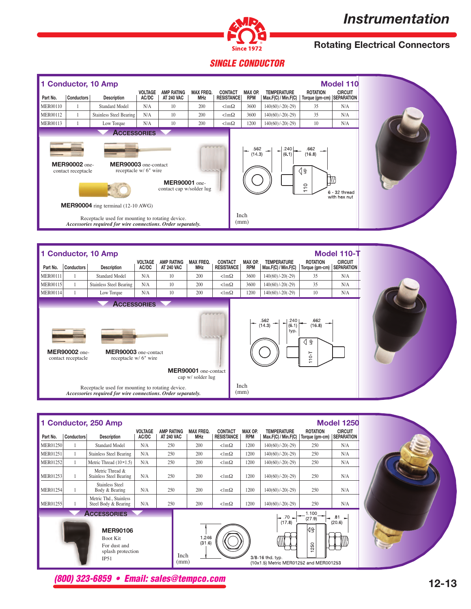# *Instrumentation*



# **Rotating Electrical Connectors**

# **SINGLE CONDUCTOR**

|                                                                                                                                                                                                                                                                                                                                            |            | 1 Conductor, 10 Amp            |                         |                                        |                                |                                     |                       |                                           |                                                | <b>Model 110</b>              |
|--------------------------------------------------------------------------------------------------------------------------------------------------------------------------------------------------------------------------------------------------------------------------------------------------------------------------------------------|------------|--------------------------------|-------------------------|----------------------------------------|--------------------------------|-------------------------------------|-----------------------|-------------------------------------------|------------------------------------------------|-------------------------------|
| Part No.                                                                                                                                                                                                                                                                                                                                   | Conductors | <b>Description</b>             | <b>VOLTAGE</b><br>AC/DC | <b>AMP RATING</b><br><b>AT 240 VAC</b> | <b>MAX FREQ.</b><br><b>MHz</b> | <b>CONTACT</b><br><b>RESISTANCE</b> | MAX OP.<br><b>RPM</b> | <b>TEMPERATURE</b><br>Max.F(C) / Min.F(C) | <b>ROTATION</b><br>Torque (gm-cm)   SEPARATION | <b>CIRCUIT</b>                |
| <b>MER00110</b>                                                                                                                                                                                                                                                                                                                            |            | Standard Model                 | N/A                     | 10                                     | 200                            | $\langle \text{lm}\Omega \rangle$   | 3600                  | $140(60)/-20(-29)$                        | 35                                             | N/A                           |
| <b>MER00112</b>                                                                                                                                                                                                                                                                                                                            |            | <b>Stainless Steel Bearing</b> | N/A                     | 10                                     | 200                            | $\langle \text{lm}\Omega \rangle$   | 3600                  | $140(60)/-20(-29)$                        | 35                                             | N/A                           |
| <b>MER00113</b>                                                                                                                                                                                                                                                                                                                            |            | Low Torque                     | N/A                     | 10                                     | 200                            | $\langle \text{lm}\Omega \rangle$   | 1200                  | $140(60)/-20(-29)$                        | 10                                             | N/A                           |
| <b>ACCESSORIES</b><br>662<br>.562<br>.240<br>(14.3)<br>(6.1)<br>(16.8)<br><b>MER90002</b> one-<br>MER90003 one-contact<br>receptacle w/ 6" wire<br>⊲ ≘<br>contact receptacle<br>1.0.0.0.L<br><b>MER90001</b> one-<br>S<br>contact cap w/solder lug<br>6 - 32 thread<br>with hex nut<br><b>MER90004</b> ring terminal $(12-10 \text{ AWG})$ |            |                                |                         |                                        |                                |                                     |                       |                                           |                                                |                               |
| Inch<br>Receptacle used for mounting to rotating device.<br>(mm)<br>Accessories required for wire connections. Order separately.                                                                                                                                                                                                           |            |                                |                         |                                        |                                |                                     |                       |                                           |                                                |                               |
|                                                                                                                                                                                                                                                                                                                                            |            | <b>Conductor, 10 Amp</b>       | <b>VOLTAGE</b>          | AMP RATING                             | MAX FREQ. CONTACT              |                                     | MAX OP.               | <b>TEMPERATURE</b>                        | <b>ROTATION</b>                                | Model 110-T<br><b>CIRCUIT</b> |

| Part No.        | <b>Conductors</b>                          | <b>Description</b>                                                                                                      | AC/DC | <b>AT 240 VAC</b> | <b>MHz</b>                                                   | <b>RESISTANCE</b>                 | <b>RPM</b> | Max.F(C) / Min.F(C)                     | Torque (gm-cm)                                               | <b>SEPARATION</b> |
|-----------------|--------------------------------------------|-------------------------------------------------------------------------------------------------------------------------|-------|-------------------|--------------------------------------------------------------|-----------------------------------|------------|-----------------------------------------|--------------------------------------------------------------|-------------------|
| <b>MER00111</b> |                                            | <b>Standard Model</b>                                                                                                   | N/A   | 10                | 200                                                          | $\langle \text{lm}\Omega \rangle$ | 3600       | $140(60)$ /-20(-29)                     | 35                                                           | N/A               |
| <b>MER00115</b> | 1                                          | Stainless Steel Bearing                                                                                                 | N/A   | 10                | 200                                                          | $\langle \text{lm}\Omega \rangle$ | 3600       | $140(60)$ /-20(-29)                     | 35                                                           | N/A               |
| <b>MER00114</b> |                                            | Low Torque                                                                                                              | N/A   | 10                | 200                                                          | $\langle \text{lm}\Omega \rangle$ | 1200       | $140(60)/-20(-29)$                      | 10                                                           | N/A               |
|                 | <b>MER90002</b> one-<br>contact receptacle | <b>ACCESSORIES</b><br>MER90003 one-contact<br>receptacle w/ 6" wire<br>Receptacle used for mounting to rotating device. |       |                   | <b>B.B.B.B.</b><br>MER90001 one-contact<br>cap w/ solder lug | <b>CONTRACTOR</b>                 | Inch       | .562<br>.240<br>(14.3)<br>(6.1)<br>typ. | .662<br>(16.8)<br>$\exists$<br>◁<br>$10-1$<br>$\overline{ }$ |                   |
|                 |                                            | Accessories required for wire connections. Order separately.                                                            |       |                   | (mm)                                                         |                                   |            |                                         |                                                              |                   |

| Part No.        | <b>Conductors</b> | <b>Description</b>                                                              | <b>VOLTAGE</b><br>AC/DC | <b>AMP RATING</b><br><b>AT 240 VAC</b> | <b>MAX FREQ.</b><br><b>MHz</b> | <b>CONTACT</b><br><b>RESISTANCE</b> | MAX OP.<br><b>RPM</b> | <b>TEMPERATURE</b><br>Max.F(C) / Min.F(C)                            | <b>ROTATION</b><br>Torque (gm-cm) | <b>CIRCUIT</b><br><b>SEPARATION</b> |
|-----------------|-------------------|---------------------------------------------------------------------------------|-------------------------|----------------------------------------|--------------------------------|-------------------------------------|-----------------------|----------------------------------------------------------------------|-----------------------------------|-------------------------------------|
| MER01250        |                   | <b>Standard Model</b>                                                           | N/A                     | 250                                    | 200                            | $\langle \text{lm}\Omega \rangle$   | 1200                  | $140(60)$ /-20(-29)                                                  | 250                               | N/A                                 |
| <b>MER01251</b> |                   | <b>Stainless Steel Bearing</b>                                                  | N/A                     | 250                                    | 200                            | $\langle \text{lm}\Omega \rangle$   | 1200                  | $140(60)/-20(-29)$                                                   | 250                               | N/A                                 |
| MER01252        |                   | Metric Thread $(10 \times 1.5)$                                                 | N/A                     | 250                                    | 200                            | $\langle \text{lm}\Omega \rangle$   | 1200                  | $140(60)$ /-20(-29)                                                  | 250                               | N/A                                 |
| <b>MER01253</b> |                   | Metric Thread &<br><b>Stainless Steel Bearing</b>                               | N/A                     | 250                                    | 200                            | $\langle \text{lm}\Omega \rangle$   | 1200                  | $140(60)$ /-20(-29)                                                  | 250                               | N/A                                 |
| <b>MER01254</b> |                   | <b>Stainless Steel</b><br>Body & Bearing                                        | N/A                     | 250                                    | 200                            | $\langle \text{lm}\Omega \rangle$   | 1200                  | $140(60)$ /-20(-29)                                                  | 250                               | N/A                                 |
| <b>MER01255</b> |                   | Metric Thd., Stainless<br>Steel Body & Bearing                                  | N/A                     | 250                                    | 200                            | $\langle \text{lm}\Omega \rangle$   | 1200                  | $140(60)$ /-20(-29)                                                  | 250                               | N/A                                 |
|                 |                   | <b>ACCESSORIES</b>                                                              |                         |                                        |                                |                                     |                       | $-70$                                                                | 1.100                             | .81                                 |
|                 |                   | <b>MER90106</b><br><b>Boot Kit</b><br>For dust and<br>splash protection<br>IP51 |                         | Inch<br>(mm)                           | 1.246<br>(31.6)                |                                     |                       | (17.8)<br>3/8-16 thd. typ.<br>(10x1.5) Metric MER01252 and MER001253 | (27.9)<br>∥4≗<br>250<br>≕         | -<br>(20.6)                         |

**(800) 323-6859 • Email: sales@tempco.com**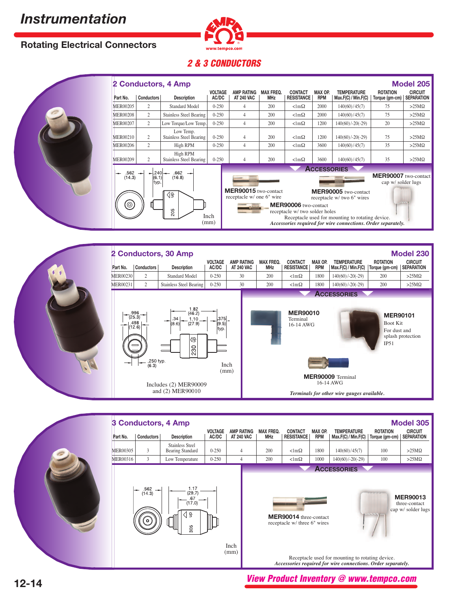## **Rotating Electrical Connectors**



## **2 & 3 CONDUCTORS**



|                                                                      |                                                                                                                                  | 2 Conductors, 4 Amp                        |                         |                                                   |                                |                                     |                       |                                                    |                                            | <b>Model 205</b>                    |
|----------------------------------------------------------------------|----------------------------------------------------------------------------------------------------------------------------------|--------------------------------------------|-------------------------|---------------------------------------------------|--------------------------------|-------------------------------------|-----------------------|----------------------------------------------------|--------------------------------------------|-------------------------------------|
| Part No.                                                             | <b>Conductors</b>                                                                                                                | <b>Description</b>                         | <b>VOLTAGE</b><br>AC/DC | <b>AMP RATING</b><br><b>AT 240 VAC</b>            | <b>MAX FREQ.</b><br><b>MHz</b> | <b>CONTACT</b><br><b>RESISTANCE</b> | MAX OP.<br><b>RPM</b> | <b>TEMPERATURE</b><br>Max.F(C) / Min.F(C)          | <b>ROTATION</b><br>Torque (gm-cm)          | <b>CIRCUIT</b><br><b>SEPARATION</b> |
| <b>MER00205</b>                                                      | 2                                                                                                                                | <b>Standard Model</b>                      | $0 - 250$               | 4                                                 | 200                            | $\langle \text{lm}\Omega \rangle$   | 2000                  | 140(60)/45(7)                                      | 75                                         | $>25M\Omega$                        |
| <b>MER00208</b>                                                      | $\overline{2}$                                                                                                                   | <b>Stainless Steel Bearing</b>             | $0 - 250$               | $\overline{4}$                                    | 200                            | $\langle \text{lm}\Omega \rangle$   | 2000                  | 140(60)/45(7)                                      | 75                                         | $>25M\Omega$                        |
| MER00207                                                             | $\overline{2}$                                                                                                                   | Low Torque/Low Temp.                       | $0 - 250$               | $\overline{4}$                                    | 200                            | $\langle \text{lm}\Omega \rangle$   | 1200                  | $140(60)$ /-20(-29)                                | 20                                         | $>25M\Omega$                        |
| MER00210                                                             | 2                                                                                                                                | Low Temp.<br>Stainless Steel Bearing       | $0 - 250$               | $\overline{4}$                                    | 200                            | $\langle \text{lm}\Omega \rangle$   | 1200                  | $140(60)$ /-20(-29)                                | 75                                         | $>25M\Omega$                        |
| <b>MER00206</b>                                                      | 2                                                                                                                                | High RPM                                   | $0 - 250$               | $\overline{4}$                                    | 200                            | $\langle \text{lm}\Omega \rangle$   | 3600                  | 140(60)/45(7)                                      | 35                                         | $>25M\Omega$                        |
| MER00209                                                             | $\overline{2}$                                                                                                                   | High RPM<br><b>Stainless Steel Bearing</b> | $0 - 250$               | $\overline{4}$                                    | 200                            | $\langle \text{lm}\Omega \rangle$   | 3600                  | 140(60)/45(7)                                      | 35                                         | $>25M\Omega$                        |
| $.562 -$                                                             | $-240$                                                                                                                           | .662                                       |                         |                                                   |                                |                                     | <b>ACCESSORIES</b>    |                                                    |                                            |                                     |
| (14.3)                                                               | (6.1)<br>typ.                                                                                                                    | (16.8)                                     |                         |                                                   |                                |                                     |                       |                                                    | MER90007 two-contact<br>cap w/ solder lugs |                                     |
|                                                                      |                                                                                                                                  | ⊲੩                                         |                         | MER90015 two-contact<br>receptacle w/ one 6" wire |                                |                                     |                       | MER90005 two-contact<br>receptacle w/ two 6" wires |                                            |                                     |
| (©)<br>MER90006 two-contact<br>205<br>receptacle w/ two solder holes |                                                                                                                                  |                                            |                         |                                                   |                                |                                     |                       |                                                    |                                            |                                     |
|                                                                      | Inch<br>Receptacle used for mounting to rotating device.<br>(mm)<br>Accessories required for wire connections. Order separately. |                                            |                         |                                                   |                                |                                     |                       |                                                    |                                            |                                     |





*Accessories required for wire connections. Order separately.*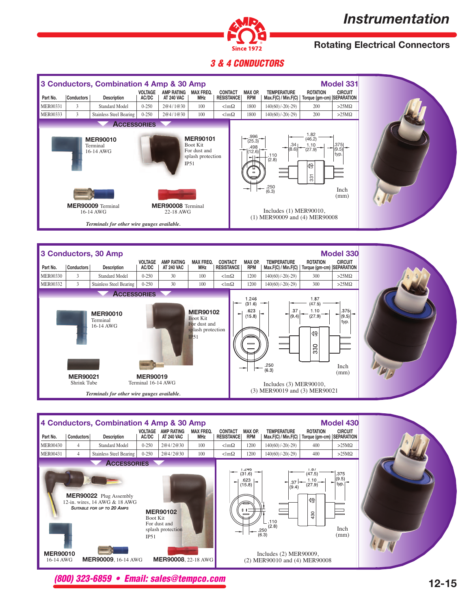# *Instrumentation*



# **Rotating Electrical Connectors**

### **3 & 4 CONDUCTORS**

|                                                                                                                       | 3 Conductors, Combination 4 Amp & 30 Amp<br><b>Model 331</b>                          |                                       |                         |                                        |                                |                                     |                       |                                                               |                                              |                                       |  |  |
|-----------------------------------------------------------------------------------------------------------------------|---------------------------------------------------------------------------------------|---------------------------------------|-------------------------|----------------------------------------|--------------------------------|-------------------------------------|-----------------------|---------------------------------------------------------------|----------------------------------------------|---------------------------------------|--|--|
| Part No.                                                                                                              | Conductors                                                                            | <b>Description</b>                    | <b>VOLTAGE</b><br>AC/DC | <b>AMP RATING</b><br><b>AT 240 VAC</b> | <b>MAX FREQ.</b><br><b>MHz</b> | <b>CONTACT</b><br><b>RESISTANCE</b> | MAX OP.<br><b>RPM</b> | <b>TEMPERATURE</b><br>Max.F(C) / Min.F(C)                     | <b>ROTATION</b><br>Torque (gm-cm) SEPARATION | <b>CIRCUIT</b>                        |  |  |
| <b>MER00331</b>                                                                                                       | 3                                                                                     | <b>Standard Model</b>                 | $0 - 250$               | 2@4/1@30                               | 100                            | $\langle \text{lm}\Omega \rangle$   | 1800                  | $140(60)$ /-20(-29)                                           | 200                                          | $>25M\Omega$                          |  |  |
| <b>MER00333</b>                                                                                                       | 3                                                                                     | <b>Stainless Steel Bearing</b>        | $0 - 250$               | 2@4/1@30                               | 100                            | $\langle \text{lm}\Omega \rangle$   | 1800                  | $140(60)$ /-20(-29)                                           | 200                                          | $>25M\Omega$                          |  |  |
|                                                                                                                       |                                                                                       | <b>ACCESSORIES</b><br><b>MER90010</b> |                         |                                        | <b>MER90101</b>                |                                     | $.996 -$<br>(25.3)    |                                                               | 1.82<br>(46.2)                               |                                       |  |  |
|                                                                                                                       | <b>Boot Kit</b><br>Terminal<br>For dust and<br>16-14 AWG<br>splash protection<br>IP51 |                                       |                         |                                        |                                |                                     |                       | .34<br>(8.6)<br>شهر<br>12.6<br>.110<br>(2.8)<br>.250<br>(6.3) | 1.10<br>(27.9)<br>4월<br>331                  | .375<br>(9.5)<br>typ.<br>Inch<br>(mm) |  |  |
| MER90009 Terminal<br><b>MER90008</b> Terminal<br>16-14 AWG<br>22-18 AWG<br>Terminals for other wire gauges available. |                                                                                       |                                       |                         |                                        |                                |                                     |                       | Includes $(1)$ MER90010,<br>(1) MER90009 and (4) MER90008     |                                              |                                       |  |  |





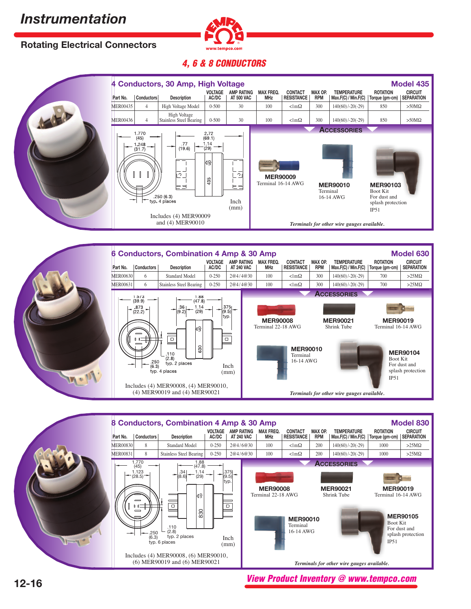# **Rotating Electrical Connectors**



## **4, 6 & 8 CONDUCTORS**







**View Product Inventory @ www.tempco.com**